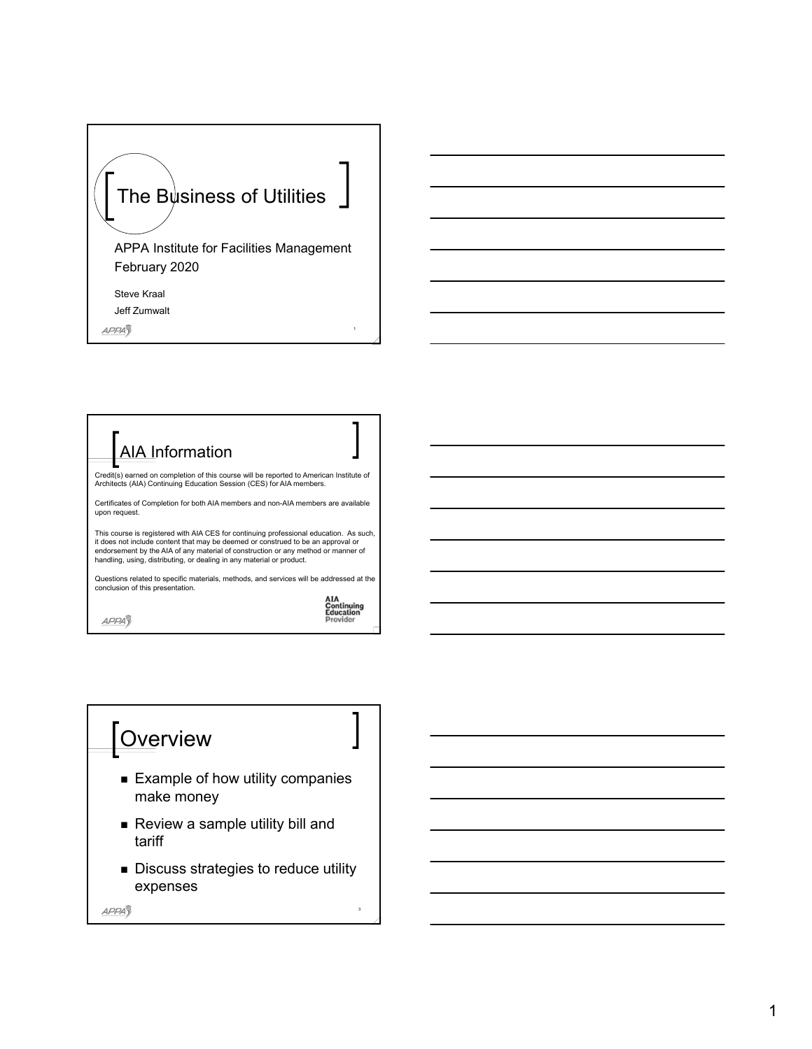

1

3

AIA Information **AIA<br>Continuing<br>Education**<br>Provider Credit(s) earned on completion of this course will be reported to American Institute of Architects (AIA) Continuing Education Session (CES) for AIA members. Certificates of Completion for both AIA members and non-AIA members are available upon request. This course is registered with AIA CES for continuing professional education. As such,<br>it does not include content that may be deemed or construed to be an approval or<br>endorsement by the AIA of any material of construction Questions related to specific materials, methods, and services will be addressed at the conclusion of this presentation.

APPA<sub>3</sub>

**APPA** 



APPA3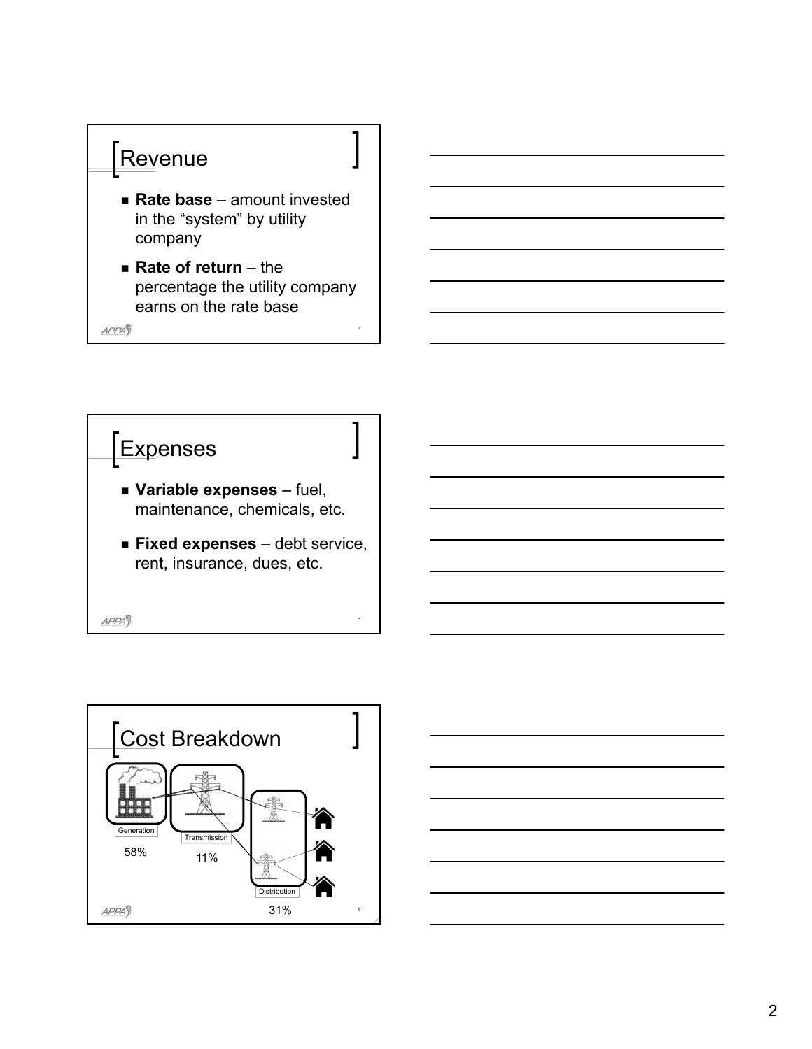

- **Rate base**  amount invested in the "system" by utility company
- **Rate of return** the percentage the utility company earns on the rate base

4

APPA<sub>3</sub>





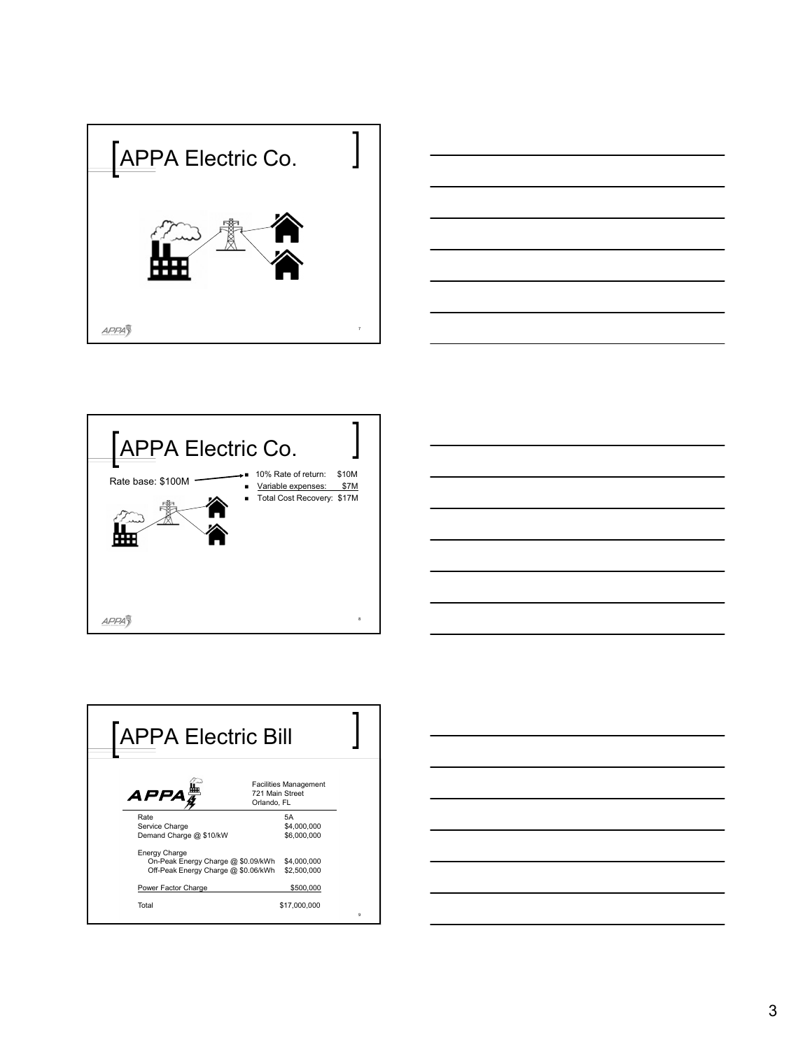







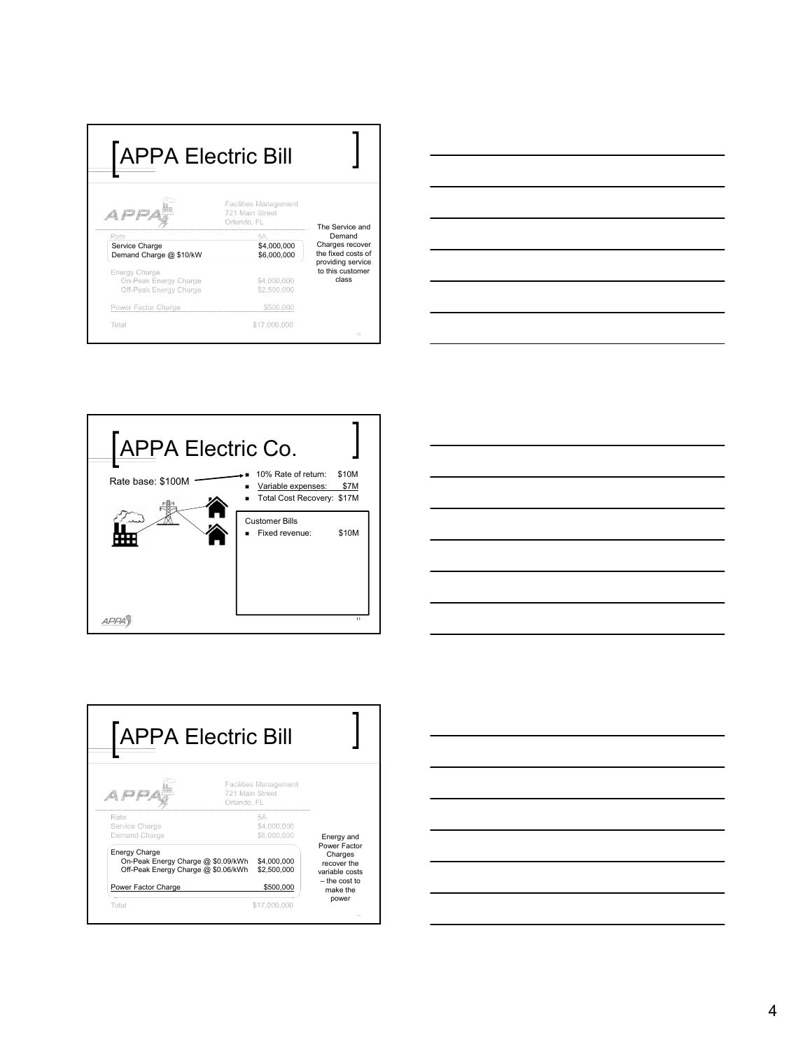| <b>APPA Electric Bill</b>                                        |                                                         |                                                                    |
|------------------------------------------------------------------|---------------------------------------------------------|--------------------------------------------------------------------|
| EJ EJ,                                                           | Facilities Management<br>721 Main Street<br>Orlando, FL | The Service and<br>Demand<br>Charges recover<br>the fixed costs of |
| Rate<br>Service Charge<br>Demand Charge @ \$10/kW                | 5A<br>\$4,000,000<br>\$6,000,000                        |                                                                    |
| Energy Charge<br>On-Peak Energy Charge<br>Off-Peak Energy Charge | \$4,000,000<br>\$2,500,000                              | providing service<br>to this customer<br>class                     |
| Power Factor Charge                                              | \$500,000                                               |                                                                    |
| Total                                                            | \$17,000,000                                            | 10                                                                 |









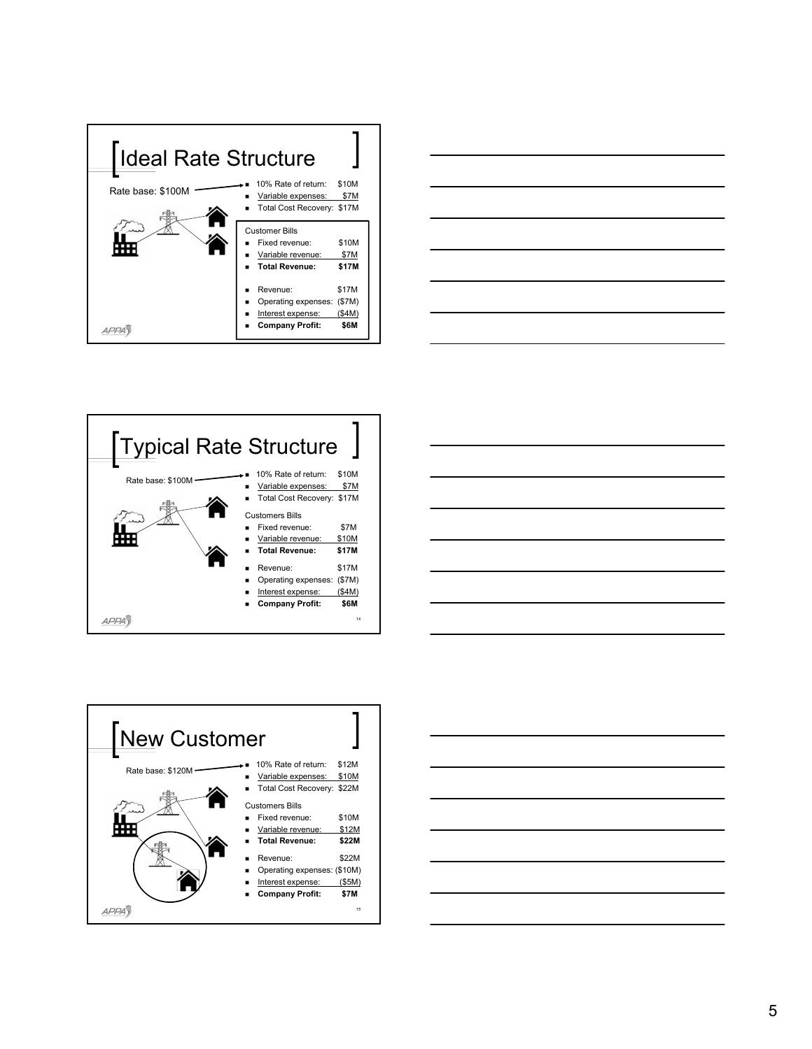









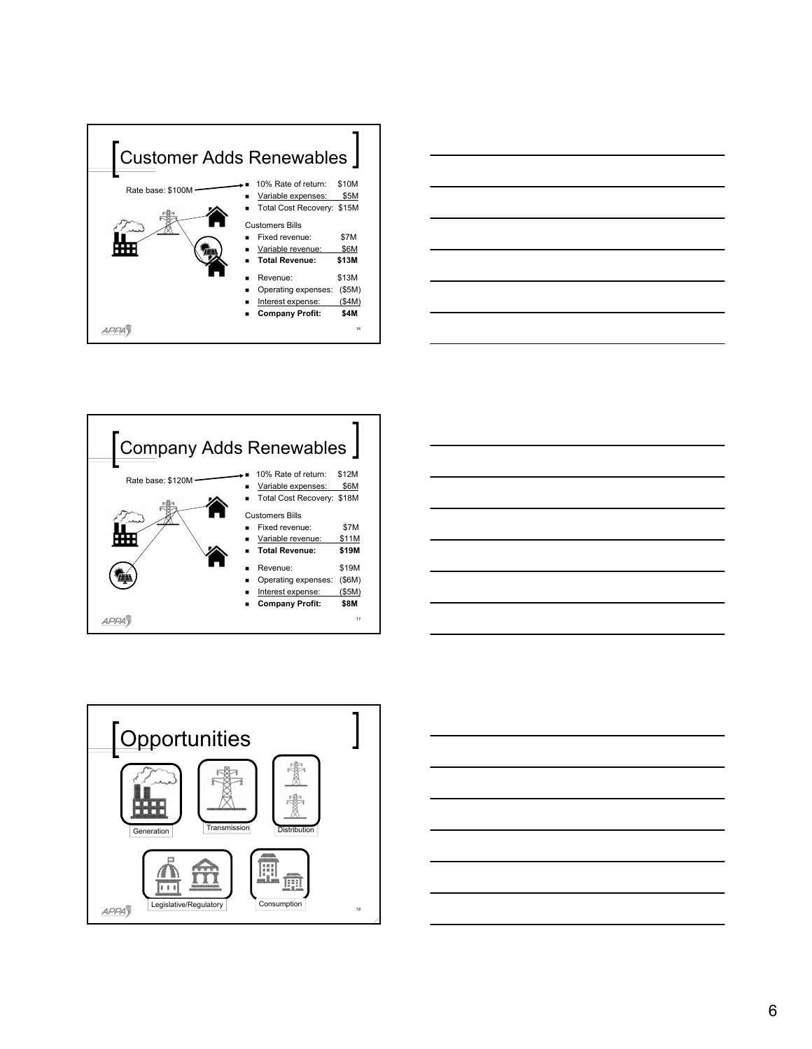









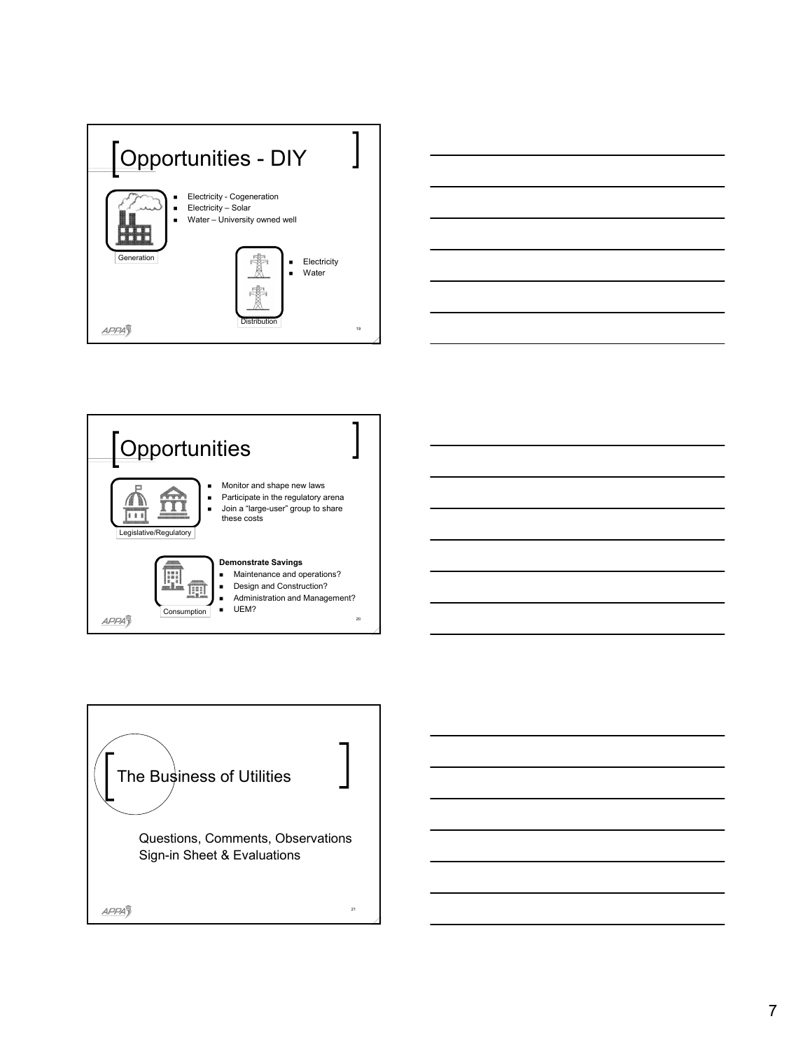